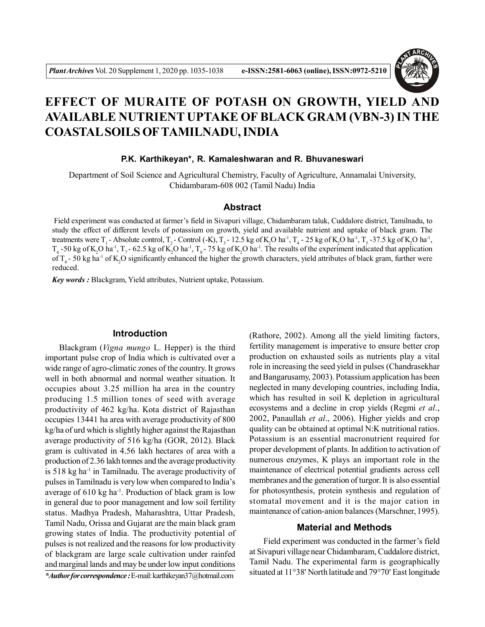

# **EFFECT OF MURAITE OF POTASH ON GROWTH, YIELD AND AVAILABLE NUTRIENT UPTAKE OF BLACK GRAM (VBN-3) IN THE COASTAL SOILS OFTAMILNADU, INDIA**

**P.K. Karthikeyan\*, R. Kamaleshwaran and R. Bhuvaneswari**

Department of Soil Science and Agricultural Chemistry, Faculty of Agriculture, Annamalai University, Chidambaram-608 002 (Tamil Nadu) India

#### **Abstract**

 Field experiment was conducted at farmer's field in Sivapuri village, Chidambaram taluk, Cuddalore district, Tamilnadu, to study the effect of different levels of potassium on growth, yield and available nutrient and uptake of black gram. The treatments were T<sub>1</sub> - Absolute control, T<sub>2</sub> - Control (-K), T<sub>3</sub> - 12.5 kg of K<sub>2</sub>O ha<sup>-1</sup>, T<sub>4</sub> - 25 kg of K<sub>2</sub>O ha<sup>-1</sup>, T<sub>5</sub> -37.5 kg of K<sub>2</sub>O ha<sup>-1</sup>,  $T_6$  -50 kg of K<sub>2</sub>O ha<sup>-1</sup>, T<sub>7</sub> - 62.5 kg of K<sub>2</sub>O ha<sup>-1</sup>, T<sub>8</sub> - 75 kg of K<sub>2</sub>O ha<sup>-1</sup>. The results of the experiment indicated that application of  $T<sub>c</sub>$  - 50 kg ha<sup>-1</sup> of K,O significantly enhanced the higher the growth characters, yield attributes of black gram, further were reduced.

*Key words :* Blackgram, Yield attributes, Nutrient uptake, Potassium.

## **Introduction**

Blackgram (*Vigna mungo* L. Hepper) is the third important pulse crop of India which is cultivated over a wide range of agro-climatic zones of the country. It grows well in both abnormal and normal weather situation. It occupies about 3.25 million ha area in the country producing 1.5 million tones of seed with average productivity of 462 kg/ha. Kota district of Rajasthan occupies 13441 ha area with average productivity of 800 kg/ha of urd which is slightly higher against the Rajasthan average productivity of 516 kg/ha (GOR, 2012). Black gram is cultivated in 4.56 lakh hectares of area with a production of 2.36 lakh tonnes and the average productivity is 518 kg ha-1 in Tamilnadu. The average productivity of pulses in Tamilnadu is very low when compared to India's average of 610 kg ha<sup>-1</sup>. Production of black gram is low in general due to poor management and low soil fertility status. Madhya Pradesh, Maharashtra, Uttar Pradesh, Tamil Nadu, Orissa and Gujarat are the main black gram growing states of India. The productivity potential of pulses is not realized and the reasons for low productivity of blackgram are large scale cultivation under rainfed and marginal lands and may be under low input conditions

*\*Author for correspondence :* E-mail: karthikeyan37@hotmail.com

(Rathore, 2002). Among all the yield limiting factors, fertility management is imperative to ensure better crop production on exhausted soils as nutrients play a vital role in increasing the seed yield in pulses (Chandrasekhar and Bangarusamy, 2003). Potassium application has been neglected in many developing countries, including India, which has resulted in soil K depletion in agricultural ecosystems and a decline in crop yields (Regmi *et al*., 2002, Panaullah *et al*., 2006). Higher yields and crop quality can be obtained at optimal N:K nutritional ratios. Potassium is an essential macronutrient required for proper development of plants. In addition to activation of numerous enzymes, K plays an important role in the maintenance of electrical potential gradients across cell membranes and the generation of turgor. It is also essential for photosynthesis, protein synthesis and regulation of stomatal movement and it is the major cation in maintenance of cation-anion balances (Marschner, 1995).

## **Material and Methods**

Field experiment was conducted in the farmer's field at Sivapuri village near Chidambaram, Cuddalore district, Tamil Nadu. The experimental farm is geographically situated at 11°38' North latitude and 79°70' East longitude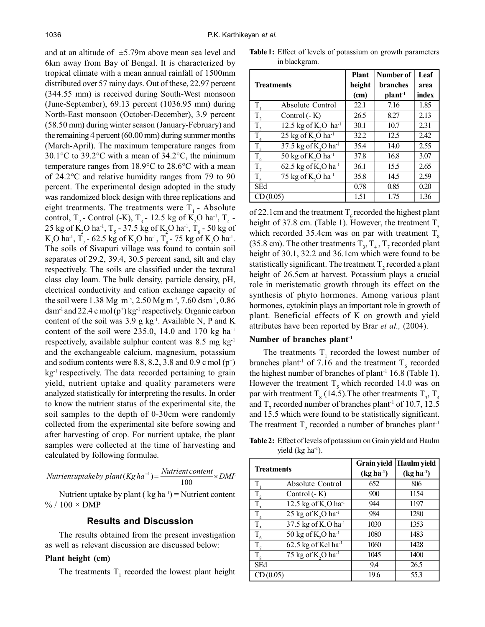and at an altitude of  $\pm$ 5.79m above mean sea level and 6km away from Bay of Bengal. It is characterized by tropical climate with a mean annual rainfall of 1500mm distributed over 57 rainy days. Out of these, 22.97 percent (344.55 mm) is received during South-West monsoon (June-September), 69.13 percent (1036.95 mm) during North-East monsoon (October-December), 3.9 percent (58.50 mm) during winter season (January-February) and the remaining 4 percent (60.00 mm) during summer months (March-April). The maximum temperature ranges from 30.1°C to 39.2°C with a mean of 34.2°C, the minimum temperature ranges from 18.9°C to 28.6°C with a mean of 24.2°C and relative humidity ranges from 79 to 90 percent. The experimental design adopted in the study was randomized block design with three replications and eight treatments. The treatments were  $T_1$  - Absolute control, T<sub>2</sub> - Control (-K), T<sub>3</sub> - 12.5 kg of K<sub>2</sub>O ha<sup>-1</sup>, T<sub>4</sub> -25 kg of  $\text{K}_{2}\text{O}$  ha<sup>-1</sup>, T<sub>5</sub> - 37.5 kg of  $\text{K}_{2}\text{O}$  ha<sup>-1</sup>, T<sub>6</sub> - 50 kg of  $K_2O$  ha<sup>-1</sup>,  $T_7$  - 62.5 kg of  $K_2O$  ha<sup>-1</sup>,  $T_8$  - 75 kg of  $K_2O$  ha<sup>-1</sup>. The soils of Sivapuri village was found to contain soil separates of 29.2, 39.4, 30.5 percent sand, silt and clay respectively. The soils are classified under the textural class clay loam. The bulk density, particle density, pH, electrical conductivity and cation exchange capacity of the soil were 1.38 Mg m-3, 2.50 Mg m-3, 7.60 dsm-1, 0.86  $d$ sm<sup>-1</sup> and 22.4 c mol (p<sup>+</sup>) kg<sup>-1</sup> respectively. Organic carbon content of the soil was  $3.9 \text{ g kg}^{-1}$ . Available N, P and K content of the soil were  $235.0$ , 14.0 and 170 kg ha<sup>-1</sup> respectively, available sulphur content was  $8.5 \text{ mg kg}^{-1}$ and the exchangeable calcium, magnesium, potassium and sodium contents were 8.8, 8.2, 3.8 and 0.9 c mol  $(p^+)$ kg<sup>-1</sup> respectively. The data recorded pertaining to grain yield, nutrient uptake and quality parameters were analyzed statistically for interpreting the results. In order to know the nutrient status of the experimental site, the soil samples to the depth of 0-30cm were randomly collected from the experimental site before sowing and after harvesting of crop. For nutrient uptake, the plant samples were collected at the time of harvesting and calculated by following formulae.

*Nutrientuptakeby plant* (*Kg ha*<sup>-1</sup>) =  $\frac{Nutrient content}{100} \times DMF$  $(Kg ha^{-1}) = \frac{N$ utrient C

Nutrient uptake by plant ( $kg \text{ ha}^{-1}$ ) = Nutrient content  $\%$  / 100  $\times$  DMP

#### **Results and Discussion**

The results obtained from the present investigation as well as relevant discussion are discussed below:

#### **Plant height (cm)**

The treatments  $T_1$  recorded the lowest plant height

**Table 1:** Effect of levels of potassium on growth parameters in blackgram.

|                   |                                              | <b>Plant</b> | Number of           | Leaf  |
|-------------------|----------------------------------------------|--------------|---------------------|-------|
| <b>Treatments</b> |                                              | height       | <b>branches</b>     | area  |
|                   |                                              | (cm)         | plant <sup>-1</sup> | index |
| T                 | Absolute Control                             | 22.1         | 7.16                | 1.85  |
| T,                | Control $(-K)$                               | 26.5         | 8.27                | 2.13  |
| T.                | 12.5 kg of K <sub>2</sub> O ha <sup>-1</sup> | 30.1         | 10.7                | 2.31  |
| T                 | 25 kg of $K$ , O ha <sup>-1</sup>            | 32.2         | 12.5                | 2.42  |
| $T_{\rm s}$       | 37.5 kg of K <sub>2</sub> O ha <sup>-1</sup> | 35.4         | 14.0                | 2.55  |
| T.                | $50 \text{ kg of K}, O \text{ ha}^{-1}$      | 37.8         | 16.8                | 3.07  |
| T.                | 62.5 kg of K <sub>2</sub> O ha <sup>-1</sup> | 36.1         | 15.5                | 2.65  |
| $T_{8}$           | 75 kg of K <sub>2</sub> O ha <sup>-1</sup>   | 35.8         | 14.5                | 2.59  |
| SEd               |                                              | 0.78         | 0.85                | 0.20  |
| CD(0.05)          |                                              | 1.51         | 1.75                | 1.36  |

of 22.1cm and the treatment  $T<sub>6</sub>$  recorded the highest plant height of 37.8 cm. (Table 1). However, the treatment  $T<sub>s</sub>$ which recorded 35.4cm was on par with treatment  $T_s$ (35.8 cm). The other treatments  $T_3$ ,  $T_4$ ,  $T_7$  recorded plant height of 30.1, 32.2 and 36.1cm which were found to be statistically significant. The treatment  $T_2$  recorded a plant height of 26.5cm at harvest. Potassium plays a crucial role in meristematic growth through its effect on the synthesis of phyto hormones. Among various plant hormones, cytokinin plays an important role in growth of plant. Beneficial effects of K on growth and yield attributes have been reported by Brar *et al.,* (2004).

## **Number of branches plant-1**

The treatments  $T_1$  recorded the lowest number of branches plant<sup>-1</sup> of 7.16 and the treatment  $T_6$  recorded the highest number of branches of plant<sup>-1</sup> 16.8 (Table 1). However the treatment  $T<sub>s</sub>$  which recorded 14.0 was on par with treatment  $T_s$  (14.5). The other treatments  $T_s$ ,  $T_4$ and  $T_7$  recorded number of branches plant<sup>-1</sup> of 10.7, 12.5 and 15.5 which were found to be statistically significant. The treatment  $T_2$  recorded a number of branches plant<sup>-1</sup>

**Table 2:** Effect of levels of potassium on Grain yield and Haulm yield  $(kg ha<sup>-1</sup>)$ .

|                                                    | <b>Grain yield</b> | Haulm yield |  |
|----------------------------------------------------|--------------------|-------------|--|
| <b>Treatments</b>                                  | $(kg ha-1)$        | $(kg ha-1)$ |  |
| т<br>Absolute Control                              | 652                | 806         |  |
| Control (- K)                                      | 900                | 1154        |  |
| 12.5 kg of $K$ , O ha <sup>-1</sup>                | 944                | 1197        |  |
| $25$ kg of K <sub>2</sub> O ha <sup>-1</sup><br>T. | 984                | 1280        |  |
| 37.5 kg of K <sub>2</sub> O ha <sup>-1</sup><br>T  | 1030               | 1353        |  |
| $50 \text{ kg of K}, O \text{ ha}^{-1}$<br>T       | 1080               | 1483        |  |
| 62.5 kg of Kcl ha <sup>-1</sup><br>T.              | 1060               | 1428        |  |
| 75 kg of K <sub>2</sub> O ha <sup>-1</sup><br>T.   | 1045               | 1400        |  |
| <b>SEd</b>                                         | 9.4                | 26.5        |  |
| CD(0.05)                                           | 19.6               | 55.3        |  |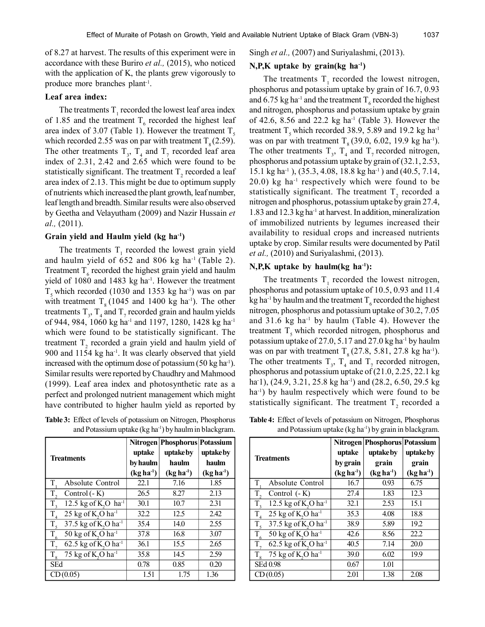of 8.27 at harvest. The results of this experiment were in accordance with these Buriro *et al.,* (2015), who noticed with the application of K, the plants grew vigorously to produce more branches plant-1 .

## **Leaf area index:**

The treatments  $T_1$  recorded the lowest leaf area index of 1.85 and the treatment  $T<sub>6</sub>$  recorded the highest leaf area index of 3.07 (Table 1). However the treatment  $T<sub>s</sub>$ which recorded 2.55 was on par with treatment  $T_s (2.59)$ . The other treatments  $T_3$ ,  $T_4$  and  $T_7$  recorded leaf area index of 2.31, 2.42 and 2.65 which were found to be statistically significant. The treatment  $T_2$  recorded a leaf area index of 2.13. This might be due to optimum supply of nutrients which increased the plant growth, leaf number, leaf length and breadth. Similar results were also observed by Geetha and Velayutham (2009) and Nazir Hussain *et al.,* (2011).

#### **Grain yield and Haulm yield (kg ha-1)**

The treatments  $T_1$  recorded the lowest grain yield and haulm yield of  $652$  and  $806$  kg ha<sup>-1</sup> (Table 2). Treatment  $T<sub>6</sub>$  recorded the highest grain yield and haulm yield of 1080 and 1483 kg ha<sup>-1</sup>. However the treatment  $T<sub>s</sub>$  which recorded (1030 and 1353 kg ha<sup>-1</sup>) was on par with treatment  $T_s$  (1045 and 1400 kg ha<sup>-1</sup>). The other treatments  $T_3$ ,  $T_4$  and  $T_7$  recorded grain and haulm yields of 944, 984, 1060 kg ha<sup>-1</sup> and 1197, 1280, 1428 kg ha<sup>-1</sup> which were found to be statistically significant. The treatment  $T_2$  recorded a grain yield and haulm yield of 900 and 1154 kg ha<sup>-1</sup>. It was clearly observed that yield increased with the optimum dose of potassium  $(50 \text{ kg ha}^{-1})$ . Similar results were reported by Chaudhry and Mahmood (1999). Leaf area index and photosynthetic rate as a perfect and prolonged nutrient management which might have contributed to higher haulm yield as reported by

**Table 3:** Effect of levels of potassium on Nitrogen, Phosphorus and Potassium uptake  $(kg ha<sup>-1</sup>)$  by haulm in blackgram.

| <b>Treatments</b>                                          | uptake<br>by haulm<br>$(kg ha-1)$ | Nitrogen   Phosphorus   Potassium<br>uptake by<br>haulm<br>$(kg ha-1)$ | uptake by<br>haulm<br>$(kg ha-1)$ |
|------------------------------------------------------------|-----------------------------------|------------------------------------------------------------------------|-----------------------------------|
| T<br>Absolute Control                                      | 22.1                              | 7.16                                                                   | 1.85                              |
| T,<br>Control (- K)                                        | 26.5                              | 8.27                                                                   | 2.13                              |
| $T_{3}$<br>12.5 kg of K <sub>2</sub> O ha <sup>-1</sup>    | 30.1                              | 10.7                                                                   | 2.31                              |
| 25 kg of K <sub>2</sub> O ha <sup>-1</sup><br>$T_{\rm A}$  | 32.2                              | 12.5                                                                   | 2.42                              |
| 37.5 kg of K,O ha <sup>-1</sup><br>$T_{\rm 5}$             | 35.4                              | 14.0                                                                   | 2.55                              |
| $\overline{T}_6$<br>50 kg of $K$ , O ha <sup>-1</sup>      | 37.8                              | 16.8                                                                   | 3.07                              |
| 62.5 kg of K <sub>2</sub> O ha <sup>-1</sup><br>$T_{\tau}$ | 36.1                              | 15.5                                                                   | 2.65                              |
| 75 kg of K <sub>2</sub> O ha <sup>-1</sup><br>$T_{\rm g}$  | 35.8                              | 14.5                                                                   | 2.59                              |
| <b>SEd</b>                                                 | 0.78                              | 0.85                                                                   | 0.20                              |
| CD(0.05)                                                   | 1.51                              | 1.75                                                                   | 1.36                              |

Singh *et al.,* (2007) and Suriyalashmi, (2013).

#### **N,P,K uptake by grain(kg ha-1)**

The treatments  $T_1$  recorded the lowest nitrogen, phosphorus and potassium uptake by grain of 16.7, 0.93 and 6.75 kg ha<sup>-1</sup> and the treatment T<sub>6</sub> recorded the highest and nitrogen, phosphorus and potassium uptake by grain of 42.6, 8.56 and 22.2 kg ha<sup>-1</sup> (Table 3). However the treatment  $T_s$  which recorded 38.9, 5.89 and 19.2 kg ha<sup>-1</sup> was on par with treatment  $T<sub>8</sub>$  (39.0, 6.02, 19.9 kg ha<sup>-1</sup>). The other treatments  $T_3$ ,  $T_4$  and  $T_7$  recorded nitrogen, phosphorus and potassium uptake by grain of (32.1, 2.53, 15.1 kg ha-1 ), (35.3, 4.08, 18.8 kg ha-1 ) and (40.5, 7.14, 20.0) kg ha-1 respectively which were found to be statistically significant. The treatment  $T_2$  recorded a nitrogen and phosphorus, potassium uptake by grain 27.4, 1.83 and 12.3 kg ha-1 at harvest. In addition, mineralization of immobilized nutrients by legumes increased their availability to residual crops and increased nutrients uptake by crop. Similar results were documented by Patil *et al.,* (2010) and Suriyalashmi, (2013).

## **N,P,K uptake by haulm(kg ha-1):**

The treatments  $T_1$  recorded the lowest nitrogen, phosphorus and potassium uptake of 10.5, 0.93 and 11.4 kg ha<sup>-1</sup> by haulm and the treatment  $T_{\epsilon}$  recorded the highest nitrogen, phosphorus and potassium uptake of 30.2, 7.05 and  $31.6$  kg ha<sup>-1</sup> by haulm (Table 4). However the treatment  $T<sub>s</sub>$  which recorded nitrogen, phosphorus and potassium uptake of 27.0, 5.17 and 27.0 kg ha<sup>-1</sup> by haulm was on par with treatment  $T<sub>8</sub>$  (27.8, 5.81, 27.8 kg ha<sup>-1</sup>). The other treatments  $T_3$ ,  $T_4$  and  $T_7$  recorded nitrogen, phosphorus and potassium uptake of (21.0, 2.25, 22.1 kg ha<sup>-1</sup>), (24.9, 3.21, 25.8 kg ha<sup>-1</sup>) and (28.2, 6.50, 29.5 kg ha<sup>-1</sup>) by haulm respectively which were found to be statistically significant. The treatment  $T_2$  recorded a

**Table 4:** Effect of levels of potassium on Nitrogen, Phosphorus and Potassium uptake  $(kg ha^{-1})$  by grain in blackgram.

| <b>Treatments</b>                                         | uptake<br>by grain<br>$(kg ha-1)$ | Nitrogen   Phosphorus   Potassium<br>uptake by<br>grain | uptake by<br>grain  |
|-----------------------------------------------------------|-----------------------------------|---------------------------------------------------------|---------------------|
| T,<br>Absolute Control                                    | 16.7                              | $(kg ha-1)$<br>0.93                                     | $(kg ha-1)$<br>6.75 |
| T,<br>Control (- K)                                       | 27.4                              | 1.83                                                    | 12.3                |
| 12.5 kg of $K$ , O ha <sup>-1</sup><br>$T_{\rm a}$        | 32.1                              | 2.53                                                    | 15.1                |
| 25 kg of K <sub>2</sub> O ha <sup>-1</sup><br>$T_{4}$     | 35.3                              | 4.08                                                    | 18.8                |
| 37.5 kg of K,O ha <sup>-1</sup><br>$T_{\rm s}$            | 38.9                              | 5.89                                                    | 19.2                |
| 50 kg of K <sub>2</sub> O ha <sup>-1</sup><br>$T_{6}$     | 42.6                              | 8.56                                                    | 22.2                |
| $T_{7}$<br>62.5 kg of K <sub>2</sub> O ha <sup>-1</sup>   | 40.5                              | 7.14                                                    | 20.0                |
| 75 kg of K <sub>2</sub> O ha <sup>-1</sup><br>$T_{\rm g}$ | 39.0                              | 6.02                                                    | 19.9                |
| SEd 0.98                                                  | 0.67                              | 1.01                                                    |                     |
| CD(0.05)                                                  | 2.01                              | 1.38                                                    | 2.08                |